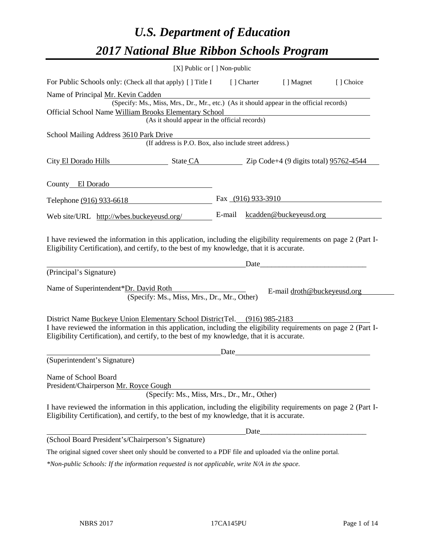# *U.S. Department of Education 2017 National Blue Ribbon Schools Program*

| [X] Public or [] Non-public                                                                                                                                                                                  |        |                      |                             |           |
|--------------------------------------------------------------------------------------------------------------------------------------------------------------------------------------------------------------|--------|----------------------|-----------------------------|-----------|
| For Public Schools only: (Check all that apply) [] Title I                                                                                                                                                   |        | [ ] Charter          | [ ] Magnet                  | [] Choice |
| Name of Principal Mr. Kevin Cadden                                                                                                                                                                           |        |                      |                             |           |
| (Specify: Ms., Miss, Mrs., Dr., Mr., etc.) (As it should appear in the official records)                                                                                                                     |        |                      |                             |           |
| Official School Name William Brooks Elementary School<br>(As it should appear in the official records)                                                                                                       |        |                      |                             |           |
|                                                                                                                                                                                                              |        |                      |                             |           |
| School Mailing Address 3610 Park Drive<br>(If address is P.O. Box, also include street address.)                                                                                                             |        |                      |                             |           |
| City El Dorado Hills State CA Zip Code+4 (9 digits total) 95762-4544                                                                                                                                         |        |                      |                             |           |
| County El Dorado                                                                                                                                                                                             |        |                      |                             |           |
| Telephone (916) 933-6618                                                                                                                                                                                     |        | Fax $(916)$ 933-3910 |                             |           |
| Web site/URL http://wbes.buckeyeusd.org/                                                                                                                                                                     | E-mail |                      | kcadden@buckeyeusd.org      |           |
| (Principal's Signature)                                                                                                                                                                                      |        | Date                 |                             |           |
| Name of Superintendent*Dr. David Roth<br>(Specify: Ms., Miss, Mrs., Dr., Mr., Other)                                                                                                                         |        |                      | E-mail droth@buckeyeusd.org |           |
| District Name Buckeye Union Elementary School District Tel. (916) 985-2183                                                                                                                                   |        |                      |                             |           |
| I have reviewed the information in this application, including the eligibility requirements on page 2 (Part I-<br>Eligibility Certification), and certify, to the best of my knowledge, that it is accurate. |        |                      |                             |           |
|                                                                                                                                                                                                              | Date   |                      |                             |           |
| (Superintendent's Signature)                                                                                                                                                                                 |        |                      |                             |           |
| Name of School Board                                                                                                                                                                                         |        |                      |                             |           |
| President/Chairperson Mr. Royce Gough<br>(Specify: Ms., Miss, Mrs., Dr., Mr., Other)                                                                                                                         |        |                      |                             |           |
| I have reviewed the information in this application, including the eligibility requirements on page 2 (Part I-<br>Eligibility Certification), and certify, to the best of my knowledge, that it is accurate. |        |                      |                             |           |
|                                                                                                                                                                                                              |        | Date_                |                             |           |
| (School Board President's/Chairperson's Signature)                                                                                                                                                           |        |                      |                             |           |
| The original signed cover sheet only should be converted to a PDF file and uploaded via the online portal.                                                                                                   |        |                      |                             |           |
| *Non-public Schools: If the information requested is not applicable, write N/A in the space.                                                                                                                 |        |                      |                             |           |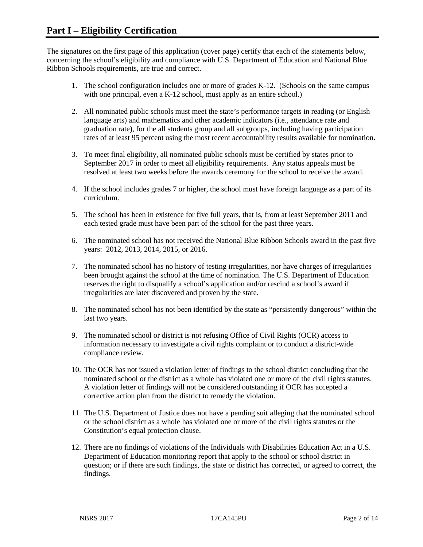The signatures on the first page of this application (cover page) certify that each of the statements below, concerning the school's eligibility and compliance with U.S. Department of Education and National Blue Ribbon Schools requirements, are true and correct.

- 1. The school configuration includes one or more of grades K-12. (Schools on the same campus with one principal, even a K-12 school, must apply as an entire school.)
- 2. All nominated public schools must meet the state's performance targets in reading (or English language arts) and mathematics and other academic indicators (i.e., attendance rate and graduation rate), for the all students group and all subgroups, including having participation rates of at least 95 percent using the most recent accountability results available for nomination.
- 3. To meet final eligibility, all nominated public schools must be certified by states prior to September 2017 in order to meet all eligibility requirements. Any status appeals must be resolved at least two weeks before the awards ceremony for the school to receive the award.
- 4. If the school includes grades 7 or higher, the school must have foreign language as a part of its curriculum.
- 5. The school has been in existence for five full years, that is, from at least September 2011 and each tested grade must have been part of the school for the past three years.
- 6. The nominated school has not received the National Blue Ribbon Schools award in the past five years: 2012, 2013, 2014, 2015, or 2016.
- 7. The nominated school has no history of testing irregularities, nor have charges of irregularities been brought against the school at the time of nomination. The U.S. Department of Education reserves the right to disqualify a school's application and/or rescind a school's award if irregularities are later discovered and proven by the state.
- 8. The nominated school has not been identified by the state as "persistently dangerous" within the last two years.
- 9. The nominated school or district is not refusing Office of Civil Rights (OCR) access to information necessary to investigate a civil rights complaint or to conduct a district-wide compliance review.
- 10. The OCR has not issued a violation letter of findings to the school district concluding that the nominated school or the district as a whole has violated one or more of the civil rights statutes. A violation letter of findings will not be considered outstanding if OCR has accepted a corrective action plan from the district to remedy the violation.
- 11. The U.S. Department of Justice does not have a pending suit alleging that the nominated school or the school district as a whole has violated one or more of the civil rights statutes or the Constitution's equal protection clause.
- 12. There are no findings of violations of the Individuals with Disabilities Education Act in a U.S. Department of Education monitoring report that apply to the school or school district in question; or if there are such findings, the state or district has corrected, or agreed to correct, the findings.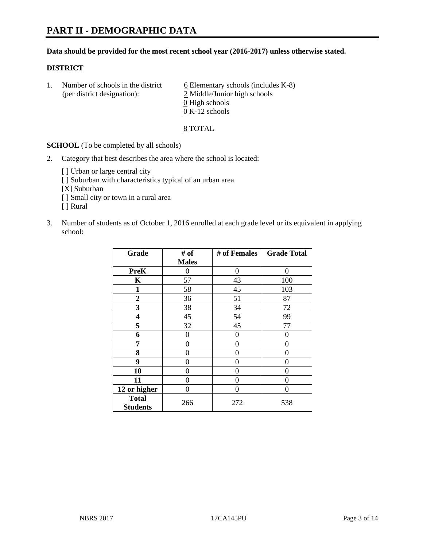#### **Data should be provided for the most recent school year (2016-2017) unless otherwise stated.**

### **DISTRICT**

1. Number of schools in the district  $6$  Elementary schools (includes K-8) (per district designation): 2 Middle/Junior high schools  $\underline{0}$  High schools 0 K-12 schools

#### 8 TOTAL

**SCHOOL** (To be completed by all schools)

- 2. Category that best describes the area where the school is located:
	- [] Urban or large central city [ ] Suburban with characteristics typical of an urban area [X] Suburban [ ] Small city or town in a rural area [ ] Rural
- 3. Number of students as of October 1, 2016 enrolled at each grade level or its equivalent in applying school:

| Grade                           | # of         | # of Females | <b>Grade Total</b> |
|---------------------------------|--------------|--------------|--------------------|
|                                 | <b>Males</b> |              |                    |
| <b>PreK</b>                     | 0            | $\theta$     | 0                  |
| $\mathbf K$                     | 57           | 43           | 100                |
| $\mathbf{1}$                    | 58           | 45           | 103                |
| $\overline{2}$                  | 36           | 51           | 87                 |
| 3                               | 38           | 34           | 72                 |
| 4                               | 45           | 54           | 99                 |
| 5                               | 32           | 45           | 77                 |
| 6                               | 0            | 0            | 0                  |
| 7                               | 0            | 0            | 0                  |
| 8                               | 0            | 0            | 0                  |
| 9                               | 0            | 0            | 0                  |
| 10                              | 0            | 0            | 0                  |
| 11                              | 0            | 0            | $\mathbf{\Omega}$  |
| 12 or higher                    | 0            | 0            | 0                  |
| <b>Total</b><br><b>Students</b> | 266          | 272          | 538                |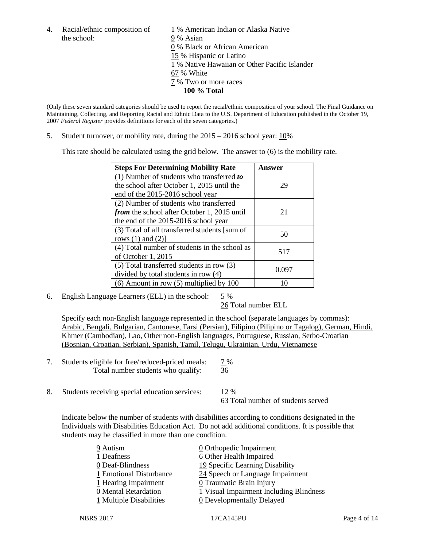the school: 9% Asian

4. Racial/ethnic composition of  $1\%$  American Indian or Alaska Native 0 % Black or African American 15 % Hispanic or Latino 1 % Native Hawaiian or Other Pacific Islander 67 % White 7 % Two or more races **100 % Total**

(Only these seven standard categories should be used to report the racial/ethnic composition of your school. The Final Guidance on Maintaining, Collecting, and Reporting Racial and Ethnic Data to the U.S. Department of Education published in the October 19, 2007 *Federal Register* provides definitions for each of the seven categories.)

5. Student turnover, or mobility rate, during the 2015 – 2016 school year: 10%

This rate should be calculated using the grid below. The answer to (6) is the mobility rate.

| <b>Steps For Determining Mobility Rate</b>         | Answer |  |
|----------------------------------------------------|--------|--|
| $(1)$ Number of students who transferred to        |        |  |
| the school after October 1, 2015 until the         | 29     |  |
| end of the 2015-2016 school year                   |        |  |
| (2) Number of students who transferred             |        |  |
| <i>from</i> the school after October 1, 2015 until | 21     |  |
| the end of the 2015-2016 school year               |        |  |
| (3) Total of all transferred students [sum of      | 50     |  |
| rows $(1)$ and $(2)$ ]                             |        |  |
| (4) Total number of students in the school as      | 517    |  |
| of October 1, 2015                                 |        |  |
| $(5)$ Total transferred students in row $(3)$      | 0.097  |  |
| divided by total students in row (4)               |        |  |
| $(6)$ Amount in row $(5)$ multiplied by 100        | 10     |  |

6. English Language Learners (ELL) in the school:  $5\%$ 

26 Total number ELL

Specify each non-English language represented in the school (separate languages by commas): Arabic, Bengali, Bulgarian, Cantonese, Farsi (Persian), Filipino (Pilipino or Tagalog), German, Hindi, Khmer (Cambodian), Lao, Other non-English languages, Portuguese, Russian, Serbo-Croatian (Bosnian, Croatian, Serbian), Spanish, Tamil, Telugu, Ukrainian, Urdu, Vietnamese

- 7. Students eligible for free/reduced-priced meals: 7 % Total number students who qualify: 36
- 8. Students receiving special education services: 12 %

63 Total number of students served

Indicate below the number of students with disabilities according to conditions designated in the Individuals with Disabilities Education Act. Do not add additional conditions. It is possible that students may be classified in more than one condition.

| 0 Orthopedic Impairment                 |
|-----------------------------------------|
| 6 Other Health Impaired                 |
| 19 Specific Learning Disability         |
| 24 Speech or Language Impairment        |
| <b>0</b> Traumatic Brain Injury         |
| 1 Visual Impairment Including Blindness |
| 0 Developmentally Delayed               |
|                                         |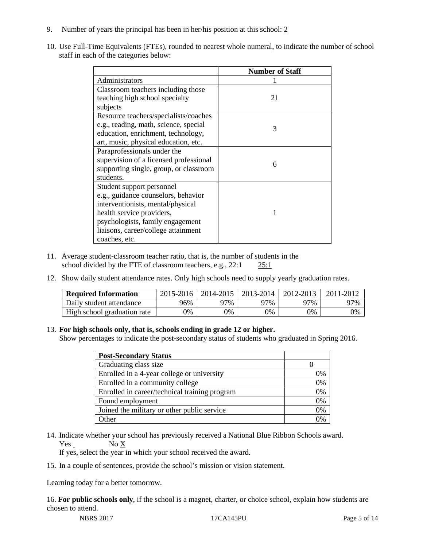- 9. Number of years the principal has been in her/his position at this school: 2
- 10. Use Full-Time Equivalents (FTEs), rounded to nearest whole numeral, to indicate the number of school staff in each of the categories below:

|                                        | <b>Number of Staff</b> |
|----------------------------------------|------------------------|
| Administrators                         |                        |
| Classroom teachers including those     |                        |
| teaching high school specialty         | 21                     |
| subjects                               |                        |
| Resource teachers/specialists/coaches  |                        |
| e.g., reading, math, science, special  | 3                      |
| education, enrichment, technology,     |                        |
| art, music, physical education, etc.   |                        |
| Paraprofessionals under the            |                        |
| supervision of a licensed professional | 6                      |
| supporting single, group, or classroom |                        |
| students.                              |                        |
| Student support personnel              |                        |
| e.g., guidance counselors, behavior    |                        |
| interventionists, mental/physical      |                        |
| health service providers,              |                        |
| psychologists, family engagement       |                        |
| liaisons, career/college attainment    |                        |
| coaches, etc.                          |                        |

- 11. Average student-classroom teacher ratio, that is, the number of students in the school divided by the FTE of classroom teachers, e.g., 22:1 25:1
- 12. Show daily student attendance rates. Only high schools need to supply yearly graduation rates.

| <b>Required Information</b> | 2015-2016 | 2014-2015 | 2013-2014 | 2012-2013 |     |
|-----------------------------|-----------|-----------|-----------|-----------|-----|
| Daily student attendance    | 96%       | 97%       | 97%       | ን7%       | 97% |
| High school graduation rate | 0%        | 0%        | 0%        | 9%        | 0%  |

#### 13. **For high schools only, that is, schools ending in grade 12 or higher.**

Show percentages to indicate the post-secondary status of students who graduated in Spring 2016.

| <b>Post-Secondary Status</b>                  |    |
|-----------------------------------------------|----|
| Graduating class size                         |    |
| Enrolled in a 4-year college or university    | 0% |
| Enrolled in a community college               | 0% |
| Enrolled in career/technical training program | 0% |
| Found employment                              | 0% |
| Joined the military or other public service   | 0% |
| )ther                                         |    |

14. Indicate whether your school has previously received a National Blue Ribbon Schools award. Yes No X

If yes, select the year in which your school received the award.

15. In a couple of sentences, provide the school's mission or vision statement.

Learning today for a better tomorrow.

16. **For public schools only**, if the school is a magnet, charter, or choice school, explain how students are chosen to attend.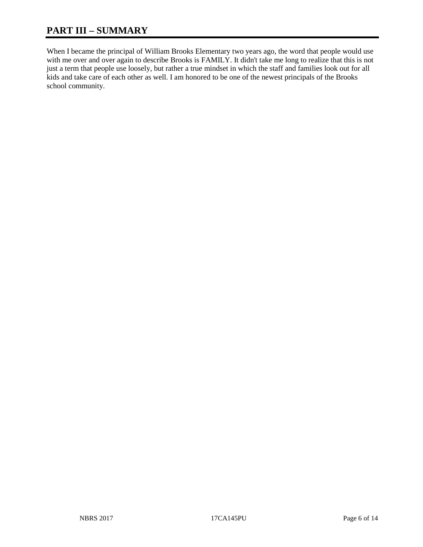# **PART III – SUMMARY**

When I became the principal of William Brooks Elementary two years ago, the word that people would use with me over and over again to describe Brooks is FAMILY. It didn't take me long to realize that this is not just a term that people use loosely, but rather a true mindset in which the staff and families look out for all kids and take care of each other as well. I am honored to be one of the newest principals of the Brooks school community.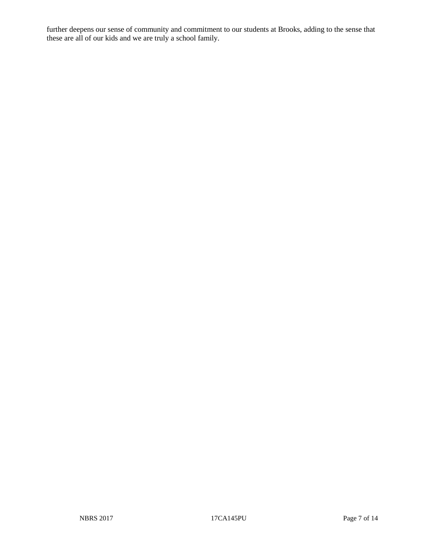further deepens our sense of community and commitment to our students at Brooks, adding to the sense that these are all of our kids and we are truly a school family.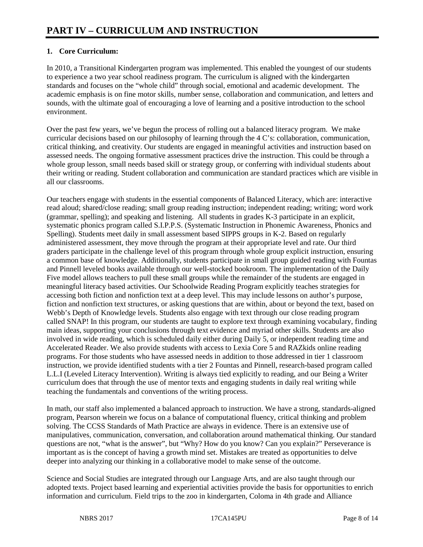# **1. Core Curriculum:**

In 2010, a Transitional Kindergarten program was implemented. This enabled the youngest of our students to experience a two year school readiness program. The curriculum is aligned with the kindergarten standards and focuses on the "whole child" through social, emotional and academic development. The academic emphasis is on fine motor skills, number sense, collaboration and communication, and letters and sounds, with the ultimate goal of encouraging a love of learning and a positive introduction to the school environment.

Over the past few years, we've begun the process of rolling out a balanced literacy program. We make curricular decisions based on our philosophy of learning through the 4 C's: collaboration, communication, critical thinking, and creativity. Our students are engaged in meaningful activities and instruction based on assessed needs. The ongoing formative assessment practices drive the instruction. This could be through a whole group lesson, small needs based skill or strategy group, or conferring with individual students about their writing or reading. Student collaboration and communication are standard practices which are visible in all our classrooms.

Our teachers engage with students in the essential components of Balanced Literacy, which are: interactive read aloud; shared/close reading; small group reading instruction; independent reading; writing; word work (grammar, spelling); and speaking and listening. All students in grades K-3 participate in an explicit, systematic phonics program called S.I.P.P.S. (Systematic Instruction in Phonemic Awareness, Phonics and Spelling). Students meet daily in small assessment based SIPPS groups in K-2. Based on regularly administered assessment, they move through the program at their appropriate level and rate. Our third graders participate in the challenge level of this program through whole group explicit instruction, ensuring a common base of knowledge. Additionally, students participate in small group guided reading with Fountas and Pinnell leveled books available through our well-stocked bookroom. The implementation of the Daily Five model allows teachers to pull these small groups while the remainder of the students are engaged in meaningful literacy based activities. Our Schoolwide Reading Program explicitly teaches strategies for accessing both fiction and nonfiction text at a deep level. This may include lessons on author's purpose, fiction and nonfiction text structures, or asking questions that are within, about or beyond the text, based on Webb's Depth of Knowledge levels. Students also engage with text through our close reading program called SNAP! In this program, our students are taught to explore text through examining vocabulary, finding main ideas, supporting your conclusions through text evidence and myriad other skills. Students are also involved in wide reading, which is scheduled daily either during Daily 5, or independent reading time and Accelerated Reader. We also provide students with access to Lexia Core 5 and RAZkids online reading programs. For those students who have assessed needs in addition to those addressed in tier 1 classroom instruction, we provide identified students with a tier 2 Fountas and Pinnell, research-based program called L.L.I (Leveled Literacy Intervention). Writing is always tied explicitly to reading, and our Being a Writer curriculum does that through the use of mentor texts and engaging students in daily real writing while teaching the fundamentals and conventions of the writing process.

In math, our staff also implemented a balanced approach to instruction. We have a strong, standards-aligned program, Pearson wherein we focus on a balance of computational fluency, critical thinking and problem solving. The CCSS Standards of Math Practice are always in evidence. There is an extensive use of manipulatives, communication, conversation, and collaboration around mathematical thinking. Our standard questions are not, "what is the answer", but "Why? How do you know? Can you explain?" Perseverance is important as is the concept of having a growth mind set. Mistakes are treated as opportunities to delve deeper into analyzing our thinking in a collaborative model to make sense of the outcome.

Science and Social Studies are integrated through our Language Arts, and are also taught through our adopted texts. Project based learning and experiential activities provide the basis for opportunities to enrich information and curriculum. Field trips to the zoo in kindergarten, Coloma in 4th grade and Alliance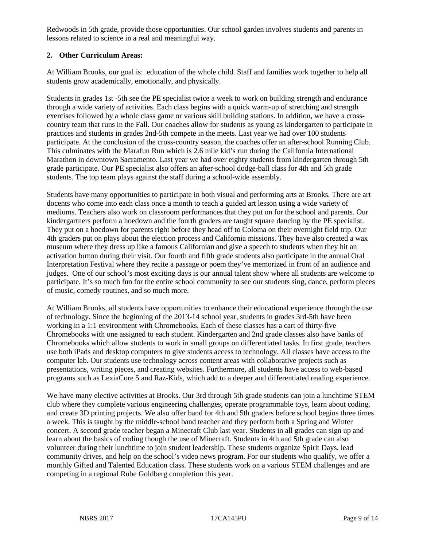Redwoods in 5th grade, provide those opportunities. Our school garden involves students and parents in lessons related to science in a real and meaningful way.

# **2. Other Curriculum Areas:**

At William Brooks, our goal is: education of the whole child. Staff and families work together to help all students grow academically, emotionally, and physically.

Students in grades 1st -5th see the PE specialist twice a week to work on building strength and endurance through a wide variety of activities. Each class begins with a quick warm-up of stretching and strength exercises followed by a whole class game or various skill building stations. In addition, we have a crosscountry team that runs in the Fall. Our coaches allow for students as young as kindergarten to participate in practices and students in grades 2nd-5th compete in the meets. Last year we had over 100 students participate. At the conclusion of the cross-country season, the coaches offer an after-school Running Club. This culminates with the Marafun Run which is 2.6 mile kid's run during the California International Marathon in downtown Sacramento. Last year we had over eighty students from kindergarten through 5th grade participate. Our PE specialist also offers an after-school dodge-ball class for 4th and 5th grade students. The top team plays against the staff during a school-wide assembly.

Students have many opportunities to participate in both visual and performing arts at Brooks. There are art docents who come into each class once a month to teach a guided art lesson using a wide variety of mediums. Teachers also work on classroom performances that they put on for the school and parents. Our kindergartners perform a hoedown and the fourth graders are taught square dancing by the PE specialist. They put on a hoedown for parents right before they head off to Coloma on their overnight field trip. Our 4th graders put on plays about the election process and California missions. They have also created a wax museum where they dress up like a famous Californian and give a speech to students when they hit an activation button during their visit. Our fourth and fifth grade students also participate in the annual Oral Interpretation Festival where they recite a passage or poem they've memorized in front of an audience and judges. One of our school's most exciting days is our annual talent show where all students are welcome to participate. It's so much fun for the entire school community to see our students sing, dance, perform pieces of music, comedy routines, and so much more.

At William Brooks, all students have opportunities to enhance their educational experience through the use of technology. Since the beginning of the 2013-14 school year, students in grades 3rd-5th have been working in a 1:1 environment with Chromebooks. Each of these classes has a cart of thirty-five Chromebooks with one assigned to each student. Kindergarten and 2nd grade classes also have banks of Chromebooks which allow students to work in small groups on differentiated tasks. In first grade, teachers use both iPads and desktop computers to give students access to technology. All classes have access to the computer lab. Our students use technology across content areas with collaborative projects such as presentations, writing pieces, and creating websites. Furthermore, all students have access to web-based programs such as LexiaCore 5 and Raz-Kids, which add to a deeper and differentiated reading experience.

We have many elective activities at Brooks. Our 3rd through 5th grade students can join a lunchtime STEM club where they complete various engineering challenges, operate programmable toys, learn about coding, and create 3D printing projects. We also offer band for 4th and 5th graders before school begins three times a week. This is taught by the middle-school band teacher and they perform both a Spring and Winter concert. A second grade teacher began a Minecraft Club last year. Students in all grades can sign up and learn about the basics of coding though the use of Minecraft. Students in 4th and 5th grade can also volunteer during their lunchtime to join student leadership. These students organize Spirit Days, lead community drives, and help on the school's video news program. For our students who qualify, we offer a monthly Gifted and Talented Education class. These students work on a various STEM challenges and are competing in a regional Rube Goldberg completion this year.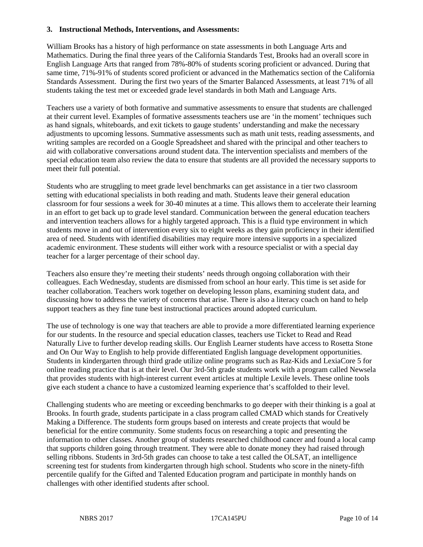#### **3. Instructional Methods, Interventions, and Assessments:**

William Brooks has a history of high performance on state assessments in both Language Arts and Mathematics. During the final three years of the California Standards Test, Brooks had an overall score in English Language Arts that ranged from 78%-80% of students scoring proficient or advanced. During that same time, 71%-91% of students scored proficient or advanced in the Mathematics section of the California Standards Assessment. During the first two years of the Smarter Balanced Assessments, at least 71% of all students taking the test met or exceeded grade level standards in both Math and Language Arts.

Teachers use a variety of both formative and summative assessments to ensure that students are challenged at their current level. Examples of formative assessments teachers use are 'in the moment' techniques such as hand signals, whiteboards, and exit tickets to gauge students' understanding and make the necessary adjustments to upcoming lessons. Summative assessments such as math unit tests, reading assessments, and writing samples are recorded on a Google Spreadsheet and shared with the principal and other teachers to aid with collaborative conversations around student data. The intervention specialists and members of the special education team also review the data to ensure that students are all provided the necessary supports to meet their full potential.

Students who are struggling to meet grade level benchmarks can get assistance in a tier two classroom setting with educational specialists in both reading and math. Students leave their general education classroom for four sessions a week for 30-40 minutes at a time. This allows them to accelerate their learning in an effort to get back up to grade level standard. Communication between the general education teachers and intervention teachers allows for a highly targeted approach. This is a fluid type environment in which students move in and out of intervention every six to eight weeks as they gain proficiency in their identified area of need. Students with identified disabilities may require more intensive supports in a specialized academic environment. These students will either work with a resource specialist or with a special day teacher for a larger percentage of their school day.

Teachers also ensure they're meeting their students' needs through ongoing collaboration with their colleagues. Each Wednesday, students are dismissed from school an hour early. This time is set aside for teacher collaboration. Teachers work together on developing lesson plans, examining student data, and discussing how to address the variety of concerns that arise. There is also a literacy coach on hand to help support teachers as they fine tune best instructional practices around adopted curriculum.

The use of technology is one way that teachers are able to provide a more differentiated learning experience for our students. In the resource and special education classes, teachers use Ticket to Read and Read Naturally Live to further develop reading skills. Our English Learner students have access to Rosetta Stone and On Our Way to English to help provide differentiated English language development opportunities. Students in kindergarten through third grade utilize online programs such as Raz-Kids and LexiaCore 5 for online reading practice that is at their level. Our 3rd-5th grade students work with a program called Newsela that provides students with high-interest current event articles at multiple Lexile levels. These online tools give each student a chance to have a customized learning experience that's scaffolded to their level.

Challenging students who are meeting or exceeding benchmarks to go deeper with their thinking is a goal at Brooks. In fourth grade, students participate in a class program called CMAD which stands for Creatively Making a Difference. The students form groups based on interests and create projects that would be beneficial for the entire community. Some students focus on researching a topic and presenting the information to other classes. Another group of students researched childhood cancer and found a local camp that supports children going through treatment. They were able to donate money they had raised through selling ribbons. Students in 3rd-5th grades can choose to take a test called the OLSAT, an intelligence screening test for students from kindergarten through high school. Students who score in the ninety-fifth percentile qualify for the Gifted and Talented Education program and participate in monthly hands on challenges with other identified students after school.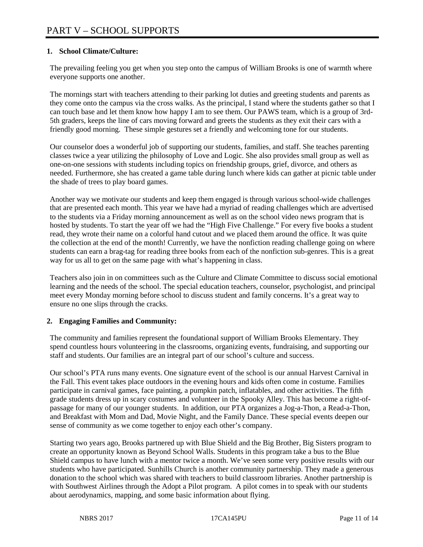# **1. School Climate/Culture:**

The prevailing feeling you get when you step onto the campus of William Brooks is one of warmth where everyone supports one another.

The mornings start with teachers attending to their parking lot duties and greeting students and parents as they come onto the campus via the cross walks. As the principal, I stand where the students gather so that I can touch base and let them know how happy I am to see them. Our PAWS team, which is a group of 3rd-5th graders, keeps the line of cars moving forward and greets the students as they exit their cars with a friendly good morning. These simple gestures set a friendly and welcoming tone for our students.

Our counselor does a wonderful job of supporting our students, families, and staff. She teaches parenting classes twice a year utilizing the philosophy of Love and Logic. She also provides small group as well as one-on-one sessions with students including topics on friendship groups, grief, divorce, and others as needed. Furthermore, she has created a game table during lunch where kids can gather at picnic table under the shade of trees to play board games.

Another way we motivate our students and keep them engaged is through various school-wide challenges that are presented each month. This year we have had a myriad of reading challenges which are advertised to the students via a Friday morning announcement as well as on the school video news program that is hosted by students. To start the year off we had the "High Five Challenge." For every five books a student read, they wrote their name on a colorful hand cutout and we placed them around the office. It was quite the collection at the end of the month! Currently, we have the nonfiction reading challenge going on where students can earn a brag-tag for reading three books from each of the nonfiction sub-genres. This is a great way for us all to get on the same page with what's happening in class.

Teachers also join in on committees such as the Culture and Climate Committee to discuss social emotional learning and the needs of the school. The special education teachers, counselor, psychologist, and principal meet every Monday morning before school to discuss student and family concerns. It's a great way to ensure no one slips through the cracks.

# **2. Engaging Families and Community:**

The community and families represent the foundational support of William Brooks Elementary. They spend countless hours volunteering in the classrooms, organizing events, fundraising, and supporting our staff and students. Our families are an integral part of our school's culture and success.

Our school's PTA runs many events. One signature event of the school is our annual Harvest Carnival in the Fall. This event takes place outdoors in the evening hours and kids often come in costume. Families participate in carnival games, face painting, a pumpkin patch, inflatables, and other activities. The fifth grade students dress up in scary costumes and volunteer in the Spooky Alley. This has become a right-ofpassage for many of our younger students. In addition, our PTA organizes a Jog-a-Thon, a Read-a-Thon, and Breakfast with Mom and Dad, Movie Night, and the Family Dance. These special events deepen our sense of community as we come together to enjoy each other's company.

Starting two years ago, Brooks partnered up with Blue Shield and the Big Brother, Big Sisters program to create an opportunity known as Beyond School Walls. Students in this program take a bus to the Blue Shield campus to have lunch with a mentor twice a month. We've seen some very positive results with our students who have participated. Sunhills Church is another community partnership. They made a generous donation to the school which was shared with teachers to build classroom libraries. Another partnership is with Southwest Airlines through the Adopt a Pilot program. A pilot comes in to speak with our students about aerodynamics, mapping, and some basic information about flying.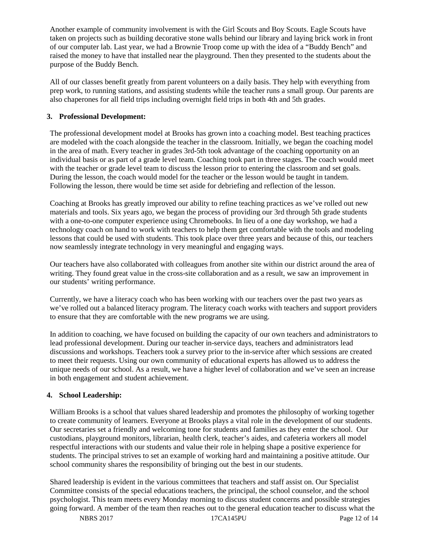Another example of community involvement is with the Girl Scouts and Boy Scouts. Eagle Scouts have taken on projects such as building decorative stone walls behind our library and laying brick work in front of our computer lab. Last year, we had a Brownie Troop come up with the idea of a "Buddy Bench" and raised the money to have that installed near the playground. Then they presented to the students about the purpose of the Buddy Bench.

All of our classes benefit greatly from parent volunteers on a daily basis. They help with everything from prep work, to running stations, and assisting students while the teacher runs a small group. Our parents are also chaperones for all field trips including overnight field trips in both 4th and 5th grades.

### **3. Professional Development:**

The professional development model at Brooks has grown into a coaching model. Best teaching practices are modeled with the coach alongside the teacher in the classroom. Initially, we began the coaching model in the area of math. Every teacher in grades 3rd-5th took advantage of the coaching opportunity on an individual basis or as part of a grade level team. Coaching took part in three stages. The coach would meet with the teacher or grade level team to discuss the lesson prior to entering the classroom and set goals. During the lesson, the coach would model for the teacher or the lesson would be taught in tandem. Following the lesson, there would be time set aside for debriefing and reflection of the lesson.

Coaching at Brooks has greatly improved our ability to refine teaching practices as we've rolled out new materials and tools. Six years ago, we began the process of providing our 3rd through 5th grade students with a one-to-one computer experience using Chromebooks. In lieu of a one day workshop, we had a technology coach on hand to work with teachers to help them get comfortable with the tools and modeling lessons that could be used with students. This took place over three years and because of this, our teachers now seamlessly integrate technology in very meaningful and engaging ways.

Our teachers have also collaborated with colleagues from another site within our district around the area of writing. They found great value in the cross-site collaboration and as a result, we saw an improvement in our students' writing performance.

Currently, we have a literacy coach who has been working with our teachers over the past two years as we've rolled out a balanced literacy program. The literacy coach works with teachers and support providers to ensure that they are comfortable with the new programs we are using.

In addition to coaching, we have focused on building the capacity of our own teachers and administrators to lead professional development. During our teacher in-service days, teachers and administrators lead discussions and workshops. Teachers took a survey prior to the in-service after which sessions are created to meet their requests. Using our own community of educational experts has allowed us to address the unique needs of our school. As a result, we have a higher level of collaboration and we've seen an increase in both engagement and student achievement.

# **4. School Leadership:**

William Brooks is a school that values shared leadership and promotes the philosophy of working together to create community of learners. Everyone at Brooks plays a vital role in the development of our students. Our secretaries set a friendly and welcoming tone for students and families as they enter the school. Our custodians, playground monitors, librarian, health clerk, teacher's aides, and cafeteria workers all model respectful interactions with our students and value their role in helping shape a positive experience for students. The principal strives to set an example of working hard and maintaining a positive attitude. Our school community shares the responsibility of bringing out the best in our students.

Shared leadership is evident in the various committees that teachers and staff assist on. Our Specialist Committee consists of the special educations teachers, the principal, the school counselor, and the school psychologist. This team meets every Monday morning to discuss student concerns and possible strategies going forward. A member of the team then reaches out to the general education teacher to discuss what the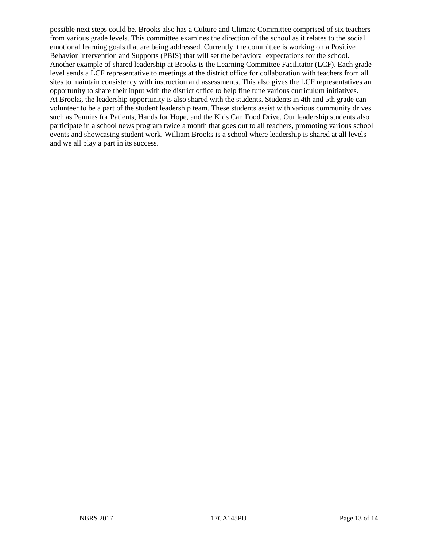possible next steps could be. Brooks also has a Culture and Climate Committee comprised of six teachers from various grade levels. This committee examines the direction of the school as it relates to the social emotional learning goals that are being addressed. Currently, the committee is working on a Positive Behavior Intervention and Supports (PBIS) that will set the behavioral expectations for the school. Another example of shared leadership at Brooks is the Learning Committee Facilitator (LCF). Each grade level sends a LCF representative to meetings at the district office for collaboration with teachers from all sites to maintain consistency with instruction and assessments. This also gives the LCF representatives an opportunity to share their input with the district office to help fine tune various curriculum initiatives. At Brooks, the leadership opportunity is also shared with the students. Students in 4th and 5th grade can volunteer to be a part of the student leadership team. These students assist with various community drives such as Pennies for Patients, Hands for Hope, and the Kids Can Food Drive. Our leadership students also participate in a school news program twice a month that goes out to all teachers, promoting various school events and showcasing student work. William Brooks is a school where leadership is shared at all levels and we all play a part in its success.